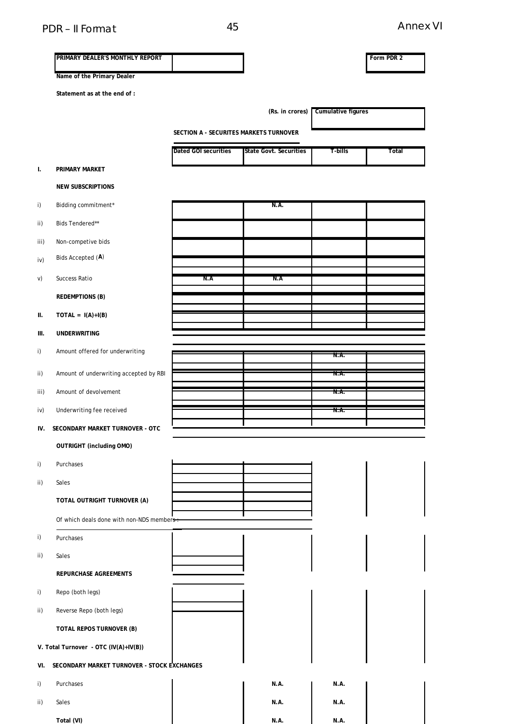# PDR – II Format 45 Annex VI

|      | PRIMARY DEALER'S MONTHLY REPORT             |                                        |                        |                    | Form PDR 2 |
|------|---------------------------------------------|----------------------------------------|------------------------|--------------------|------------|
|      |                                             |                                        |                        |                    |            |
|      | Name of the Primary Dealer                  |                                        |                        |                    |            |
|      | Statement as at the end of :                |                                        |                        |                    |            |
|      |                                             |                                        | (Rs. in crores)        | Cumulative figures |            |
|      |                                             | SECTION A - SECURITES MARKETS TURNOVER |                        |                    |            |
|      |                                             | Dated GOI securities                   | State Govt. Securities | T-bills            | Total      |
| I.   | PRIMARY MARKET                              |                                        |                        |                    |            |
|      | <b>NEW SUBSCRIPTIONS</b>                    |                                        |                        |                    |            |
| i)   | Bidding commitment*                         |                                        | N.A.                   |                    |            |
| ii)  | Bids Tendered**                             |                                        |                        |                    |            |
| iii) | Non-competive bids                          |                                        |                        |                    |            |
| iv)  | Bids Accepted (A)                           |                                        |                        |                    |            |
| V)   | Success Ratio                               | N.A                                    | N.A                    |                    |            |
|      | <b>REDEMPTIONS (B)</b>                      |                                        |                        |                    |            |
| ΙΙ.  | $TOTAL = I(A)+I(B)$                         |                                        |                        |                    |            |
| Ш.   | <b>UNDERWRITING</b>                         |                                        |                        |                    |            |
| i)   | Amount offered for underwriting             |                                        |                        | N.A.               |            |
| ii)  | Amount of underwriting accepted by RBI      |                                        |                        | N.A.               |            |
| iii) | Amount of devolvement                       |                                        |                        | N.A.               |            |
| iv)  | Underwriting fee received                   |                                        |                        | N.A.               |            |
| IV.  | SECONDARY MARKET TURNOVER - OTC             |                                        |                        |                    |            |
|      | <b>OUTRIGHT (including OMO)</b>             |                                        |                        |                    |            |
| i)   | Purchases                                   |                                        |                        |                    |            |
| ii)  | Sales                                       |                                        |                        |                    |            |
|      | TOTAL OUTRIGHT TURNOVER (A)                 |                                        |                        |                    |            |
|      | Of which deals done with non-NDS members-   |                                        |                        |                    |            |
| i)   | Purchases                                   |                                        |                        |                    |            |
| ii)  | Sales                                       |                                        |                        |                    |            |
|      | REPURCHASE AGREEMENTS                       |                                        |                        |                    |            |
| i)   | Repo (both legs)                            |                                        |                        |                    |            |
| ii)  | Reverse Repo (both legs)                    |                                        |                        |                    |            |
|      | TOTAL REPOS TURNOVER (B)                    |                                        |                        |                    |            |
|      | V. Total Turnover - OTC (IV(A)+IV(B))       |                                        |                        |                    |            |
| VI.  | SECONDARY MARKET TURNOVER - STOCK EXCHANGES |                                        |                        |                    |            |
| i)   | Purchases                                   |                                        | N.A.                   | N.A.               |            |
| ii)  | Sales                                       |                                        | N.A.                   | N.A.               |            |
|      | Total (VI)                                  |                                        | N.A.                   | N.A.               |            |